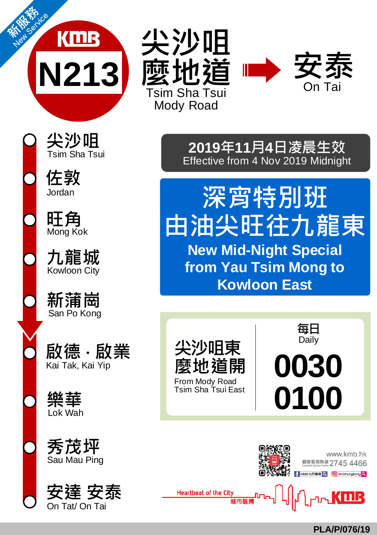





**尖沙咀 <sup>2019</sup>年11月4日凌晨生效** Effective from 4 Nov 2019 Midnight

> **深宵特別班 由油尖旺往九龍東 New Mid-Night Special from Yau Tsim Mong to Kowloon East**

**尖沙咀東 麼地道開** From Mody Road Tsim Sha Tsui East **每日** Daily **0030 0100**



**PLA/P/076/19**

**佐敦** Jordan

**旺角** Mong Kok

**九龍城** Kowloon City

San Po Kong **新蒲崗**

**啟德 ‧ 啟業** Kai Tak, Kai Yip

**樂華** Lok Wah

**秀茂坪** Sau Mau Ping